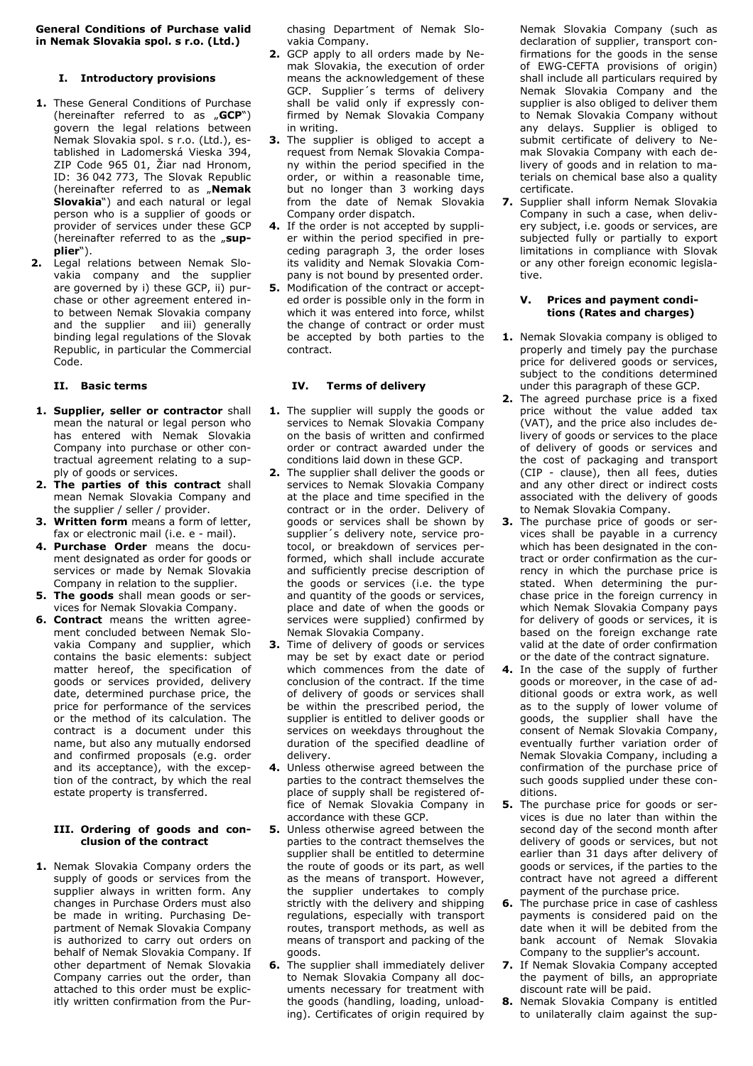**General Conditions of Purchase valid in Nemak Slovakia spol. s r.o. (Ltd.)** 

## **I. Introductory provisions**

- **1.** These General Conditions of Purchase (hereinafter referred to as "**GCP**") govern the legal relations between Nemak Slovakia spol. s r.o. (Ltd.), established in Ladomerská Vieska 394, ZIP Code 965 01, Žiar nad Hronom, ID: 36 042 773, The Slovak Republic (hereinafter referred to as "**Nemak Slovakia**") and each natural or legal person who is a supplier of goods or provider of services under these GCP (hereinafter referred to as the "sup**plier**").
- **2.** Legal relations between Nemak Slovakia company and the supplier are governed by i) these GCP, ii) purchase or other agreement entered into between Nemak Slovakia company and the supplier and iii) generally binding legal regulations of the Slovak Republic, in particular the Commercial Code.

#### **II. Basic terms**

- **1. Supplier, seller or contractor** shall mean the natural or legal person who has entered with Nemak Slovakia Company into purchase or other contractual agreement relating to a supply of goods or services.
- **2. The parties of this contract** shall mean Nemak Slovakia Company and the supplier / seller / provider.
- **3. Written form** means a form of letter, fax or electronic mail (i.e. e - mail).
- **4. Purchase Order** means the document designated as order for goods or services or made by Nemak Slovakia Company in relation to the supplier.
- **5. The goods** shall mean goods or services for Nemak Slovakia Company.
- **6. Contract** means the written agreement concluded between Nemak Slovakia Company and supplier, which contains the basic elements: subject matter hereof, the specification of goods or services provided, delivery date, determined purchase price, the price for performance of the services or the method of its calculation. The contract is a document under this name, but also any mutually endorsed and confirmed proposals (e.g. order and its acceptance), with the exception of the contract, by which the real estate property is transferred.

#### **III. Ordering of goods and conclusion of the contract**

**1.** Nemak Slovakia Company orders the supply of goods or services from the supplier always in written form. Any changes in Purchase Orders must also be made in writing. Purchasing Department of Nemak Slovakia Company is authorized to carry out orders on behalf of Nemak Slovakia Company. If other department of Nemak Slovakia Company carries out the order, than attached to this order must be explicitly written confirmation from the Purchasing Department of Nemak Slovakia Company.

- **2.** GCP apply to all orders made by Nemak Slovakia, the execution of order means the acknowledgement of these GCP. Supplier´s terms of delivery shall be valid only if expressly confirmed by Nemak Slovakia Company in writing.
- **3.** The supplier is obliged to accept a request from Nemak Slovakia Company within the period specified in the order, or within a reasonable time, but no longer than 3 working days from the date of Nemak Slovakia Company order dispatch.
- **4.** If the order is not accepted by supplier within the period specified in preceding paragraph 3, the order loses its validity and Nemak Slovakia Company is not bound by presented order.
- **5.** Modification of the contract or accepted order is possible only in the form in which it was entered into force, whilst the change of contract or order must be accepted by both parties to the contract.

#### **IV. Terms of delivery**

- **1.** The supplier will supply the goods or services to Nemak Slovakia Company on the basis of written and confirmed order or contract awarded under the conditions laid down in these GCP.
- **2.** The supplier shall deliver the goods or services to Nemak Slovakia Company at the place and time specified in the contract or in the order. Delivery of goods or services shall be shown by supplier´s delivery note, service protocol, or breakdown of services performed, which shall include accurate and sufficiently precise description of the goods or services (i.e. the type and quantity of the goods or services, place and date of when the goods or services were supplied) confirmed by Nemak Slovakia Company.
- **3.** Time of delivery of goods or services may be set by exact date or period which commences from the date of conclusion of the contract. If the time of delivery of goods or services shall be within the prescribed period, the supplier is entitled to deliver goods or services on weekdays throughout the duration of the specified deadline of delivery.
- **4.** Unless otherwise agreed between the parties to the contract themselves the place of supply shall be registered office of Nemak Slovakia Company in accordance with these GCP.
- **5.** Unless otherwise agreed between the parties to the contract themselves the supplier shall be entitled to determine the route of goods or its part, as well as the means of transport. However, the supplier undertakes to comply strictly with the delivery and shipping regulations, especially with transport routes, transport methods, as well as means of transport and packing of the goods.
- **6.** The supplier shall immediately deliver to Nemak Slovakia Company all documents necessary for treatment with the goods (handling, loading, unloading). Certificates of origin required by

Nemak Slovakia Company (such as declaration of supplier, transport confirmations for the goods in the sense of EWG-CEFTA provisions of origin) shall include all particulars required by Nemak Slovakia Company and the supplier is also obliged to deliver them to Nemak Slovakia Company without any delays. Supplier is obliged to submit certificate of delivery to Nemak Slovakia Company with each delivery of goods and in relation to materials on chemical base also a quality certificate.

**7.** Supplier shall inform Nemak Slovakia Company in such a case, when delivery subject, i.e. goods or services, are subjected fully or partially to export limitations in compliance with Slovak or any other foreign economic legislative.

### **V. Prices and payment conditions (Rates and charges)**

- **1.** Nemak Slovakia company is obliged to properly and timely pay the purchase price for delivered goods or services, subject to the conditions determined under this paragraph of these GCP.
- **2.** The agreed purchase price is a fixed price without the value added tax (VAT), and the price also includes delivery of goods or services to the place of delivery of goods or services and the cost of packaging and transport (CIP - clause), then all fees, duties and any other direct or indirect costs associated with the delivery of goods to Nemak Slovakia Company.
- **3.** The purchase price of goods or services shall be payable in a currency which has been designated in the contract or order confirmation as the currency in which the purchase price is stated. When determining the purchase price in the foreign currency in which Nemak Slovakia Company pays for delivery of goods or services, it is based on the foreign exchange rate valid at the date of order confirmation or the date of the contract signature.
- **4.** In the case of the supply of further goods or moreover, in the case of additional goods or extra work, as well as to the supply of lower volume of goods, the supplier shall have the consent of Nemak Slovakia Company, eventually further variation order of Nemak Slovakia Company, including a confirmation of the purchase price of such goods supplied under these conditions.
- **5.** The purchase price for goods or services is due no later than within the second day of the second month after delivery of goods or services, but not earlier than 31 days after delivery of goods or services, if the parties to the contract have not agreed a different payment of the purchase price.
- **6.** The purchase price in case of cashless payments is considered paid on the date when it will be debited from the bank account of Nemak Slovakia Company to the supplier's account.
- **7.** If Nemak Slovakia Company accepted the payment of bills, an appropriate discount rate will be paid.
- **8.** Nemak Slovakia Company is entitled to unilaterally claim against the sup-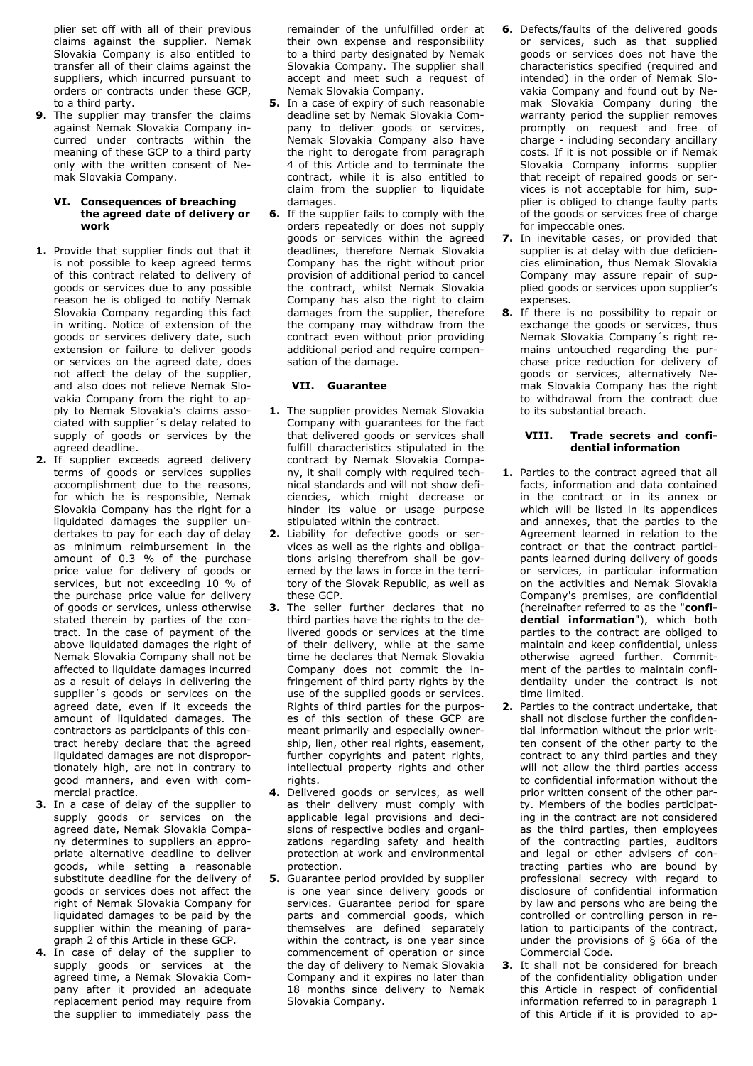plier set off with all of their previous claims against the supplier. Nemak Slovakia Company is also entitled to transfer all of their claims against the suppliers, which incurred pursuant to orders or contracts under these GCP, to a third party.

**9.** The supplier may transfer the claims against Nemak Slovakia Company incurred under contracts within the meaning of these GCP to a third party only with the written consent of Nemak Slovakia Company.

#### **VI. Consequences of breaching the agreed date of delivery or work**

- **1.** Provide that supplier finds out that it is not possible to keep agreed terms of this contract related to delivery of goods or services due to any possible reason he is obliged to notify Nemak Slovakia Company regarding this fact in writing. Notice of extension of the goods or services delivery date, such extension or failure to deliver goods or services on the agreed date, does not affect the delay of the supplier, and also does not relieve Nemak Slovakia Company from the right to apply to Nemak Slovakia's claims associated with supplier´s delay related to supply of goods or services by the agreed deadline.
- **2.** If supplier exceeds agreed delivery terms of goods or services supplies accomplishment due to the reasons, for which he is responsible, Nemak Slovakia Company has the right for a liquidated damages the supplier undertakes to pay for each day of delay as minimum reimbursement in the amount of 0.3 % of the purchase price value for delivery of goods or services, but not exceeding 10 % of the purchase price value for delivery of goods or services, unless otherwise stated therein by parties of the contract. In the case of payment of the above liquidated damages the right of Nemak Slovakia Company shall not be affected to liquidate damages incurred as a result of delays in delivering the supplier's goods or services on the agreed date, even if it exceeds the amount of liquidated damages. The contractors as participants of this contract hereby declare that the agreed liquidated damages are not disproportionately high, are not in contrary to good manners, and even with commercial practice.
- **3.** In a case of delay of the supplier to supply goods or services on the agreed date, Nemak Slovakia Company determines to suppliers an appropriate alternative deadline to deliver goods, while setting a reasonable substitute deadline for the delivery of goods or services does not affect the right of Nemak Slovakia Company for liquidated damages to be paid by the supplier within the meaning of paragraph 2 of this Article in these GCP.
- **4.** In case of delay of the supplier to supply goods or services at the agreed time, a Nemak Slovakia Company after it provided an adequate replacement period may require from the supplier to immediately pass the

remainder of the unfulfilled order at their own expense and responsibility to a third party designated by Nemak Slovakia Company. The supplier shall accept and meet such a request of Nemak Slovakia Company.

- **5.** In a case of expiry of such reasonable deadline set by Nemak Slovakia Company to deliver goods or services, Nemak Slovakia Company also have the right to derogate from paragraph 4 of this Article and to terminate the contract, while it is also entitled to claim from the supplier to liquidate damages.
- **6.** If the supplier fails to comply with the orders repeatedly or does not supply goods or services within the agreed deadlines, therefore Nemak Slovakia Company has the right without prior provision of additional period to cancel the contract, whilst Nemak Slovakia Company has also the right to claim damages from the supplier, therefore the company may withdraw from the contract even without prior providing additional period and require compensation of the damage.

## **VII. Guarantee**

- **1.** The supplier provides Nemak Slovakia Company with guarantees for the fact that delivered goods or services shall fulfill characteristics stipulated in the contract by Nemak Slovakia Company, it shall comply with required technical standards and will not show deficiencies, which might decrease or hinder its value or usage purpose stipulated within the contract.
- **2.** Liability for defective goods or services as well as the rights and obligations arising therefrom shall be governed by the laws in force in the territory of the Slovak Republic, as well as these GCP.
- **3.** The seller further declares that no third parties have the rights to the delivered goods or services at the time of their delivery, while at the same time he declares that Nemak Slovakia Company does not commit the infringement of third party rights by the use of the supplied goods or services. Rights of third parties for the purposes of this section of these GCP are meant primarily and especially ownership, lien, other real rights, easement, further copyrights and patent rights, intellectual property rights and other rights.
- **4.** Delivered goods or services, as well as their delivery must comply with applicable legal provisions and decisions of respective bodies and organizations regarding safety and health protection at work and environmental protection.
- **5.** Guarantee period provided by supplier is one year since delivery goods or services. Guarantee period for spare parts and commercial goods, which themselves are defined separately within the contract, is one year since commencement of operation or since the day of delivery to Nemak Slovakia Company and it expires no later than 18 months since delivery to Nemak Slovakia Company.
- **6.** Defects/faults of the delivered goods or services, such as that supplied goods or services does not have the characteristics specified (required and intended) in the order of Nemak Slovakia Company and found out by Nemak Slovakia Company during the warranty period the supplier removes promptly on request and free of charge - including secondary ancillary costs. If it is not possible or if Nemak Slovakia Company informs supplier that receipt of repaired goods or services is not acceptable for him, supplier is obliged to change faulty parts of the goods or services free of charge for impeccable ones.
- **7.** In inevitable cases, or provided that supplier is at delay with due deficiencies elimination, thus Nemak Slovakia Company may assure repair of supplied goods or services upon supplier's expenses.
- **8.** If there is no possibility to repair or exchange the goods or services, thus Nemak Slovakia Company´s right remains untouched regarding the purchase price reduction for delivery of goods or services, alternatively Nemak Slovakia Company has the right to withdrawal from the contract due to its substantial breach.

## **VIII. Trade secrets and confidential information**

- **1.** Parties to the contract agreed that all facts, information and data contained in the contract or in its annex or which will be listed in its appendices and annexes, that the parties to the Agreement learned in relation to the contract or that the contract participants learned during delivery of goods or services, in particular information on the activities and Nemak Slovakia Company's premises, are confidential (hereinafter referred to as the "**confidential information**"), which both parties to the contract are obliged to maintain and keep confidential, unless otherwise agreed further. Commitment of the parties to maintain confidentiality under the contract is not time limited.
- **2.** Parties to the contract undertake, that shall not disclose further the confidential information without the prior written consent of the other party to the contract to any third parties and they will not allow the third parties access to confidential information without the prior written consent of the other party. Members of the bodies participating in the contract are not considered as the third parties, then employees of the contracting parties, auditors and legal or other advisers of contracting parties who are bound by professional secrecy with regard to disclosure of confidential information by law and persons who are being the controlled or controlling person in relation to participants of the contract, under the provisions of § 66a of the Commercial Code.
- **3.** It shall not be considered for breach of the confidentiality obligation under this Article in respect of confidential information referred to in paragraph 1 of this Article if it is provided to ap-